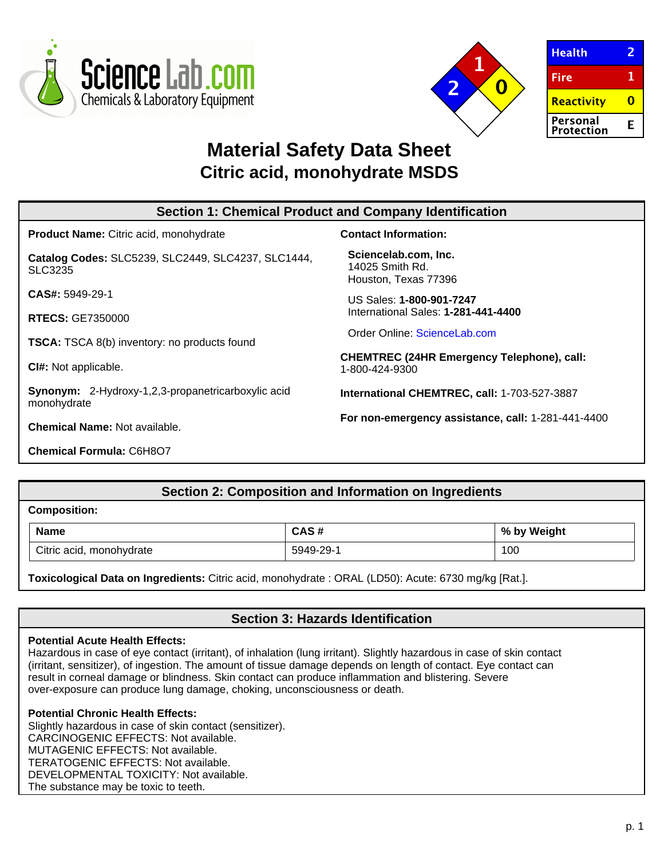



| <b>Health</b>          |   |
|------------------------|---|
| <b>Fire</b>            | 1 |
| Reactivity             |   |
| Personal<br>Protection | F |

# **Material Safety Data Sheet Citric acid, monohydrate MSDS**

| <b>Section 1: Chemical Product and Company Identification</b>            |                                                                     |  |
|--------------------------------------------------------------------------|---------------------------------------------------------------------|--|
| <b>Product Name:</b> Citric acid, monohydrate                            | <b>Contact Information:</b>                                         |  |
| Catalog Codes: SLC5239, SLC2449, SLC4237, SLC1444,<br>SLC3235            | Sciencelab.com, Inc.<br>14025 Smith Rd.<br>Houston, Texas 77396     |  |
| $CAS#: 5949-29-1$                                                        | US Sales: 1-800-901-7247                                            |  |
| <b>RTECS: GE7350000</b>                                                  | International Sales: 1-281-441-4400                                 |  |
| <b>TSCA:</b> TSCA 8(b) inventory: no products found                      | Order Online: ScienceLab.com                                        |  |
| CI#: Not applicable.                                                     | <b>CHEMTREC (24HR Emergency Telephone), call:</b><br>1-800-424-9300 |  |
| <b>Synonym:</b> 2-Hydroxy-1,2,3-propanetricarboxylic acid<br>monohydrate | International CHEMTREC, call: 1-703-527-3887                        |  |
| <b>Chemical Name: Not available.</b>                                     | For non-emergency assistance, call: 1-281-441-4400                  |  |
| <b>Chemical Formula: C6H8O7</b>                                          |                                                                     |  |

# **Section 2: Composition and Information on Ingredients**

# **Composition:**

| <b>Name</b>              | C Y C #   | % by Weight |
|--------------------------|-----------|-------------|
| Citric acid, monohydrate | 5949-29-1 | 100         |

**Toxicological Data on Ingredients:** Citric acid, monohydrate : ORAL (LD50): Acute: 6730 mg/kg [Rat.].

# **Section 3: Hazards Identification**

# **Potential Acute Health Effects:**

Hazardous in case of eye contact (irritant), of inhalation (lung irritant). Slightly hazardous in case of skin contact (irritant, sensitizer), of ingestion. The amount of tissue damage depends on length of contact. Eye contact can result in corneal damage or blindness. Skin contact can produce inflammation and blistering. Severe over-exposure can produce lung damage, choking, unconsciousness or death.

# **Potential Chronic Health Effects:**

Slightly hazardous in case of skin contact (sensitizer). CARCINOGENIC EFFECTS: Not available. MUTAGENIC EFFECTS: Not available. TERATOGENIC EFFECTS: Not available. DEVELOPMENTAL TOXICITY: Not available. The substance may be toxic to teeth.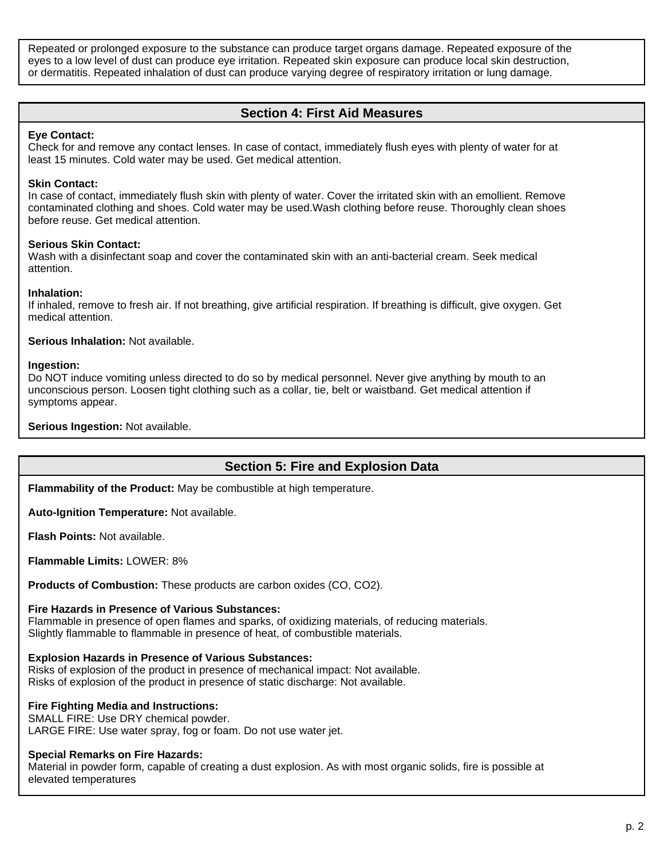Repeated or prolonged exposure to the substance can produce target organs damage. Repeated exposure of the eyes to a low level of dust can produce eye irritation. Repeated skin exposure can produce local skin destruction, or dermatitis. Repeated inhalation of dust can produce varying degree of respiratory irritation or lung damage.

# **Section 4: First Aid Measures**

### **Eye Contact:**

Check for and remove any contact lenses. In case of contact, immediately flush eyes with plenty of water for at least 15 minutes. Cold water may be used. Get medical attention.

### **Skin Contact:**

In case of contact, immediately flush skin with plenty of water. Cover the irritated skin with an emollient. Remove contaminated clothing and shoes. Cold water may be used.Wash clothing before reuse. Thoroughly clean shoes before reuse. Get medical attention.

### **Serious Skin Contact:**

Wash with a disinfectant soap and cover the contaminated skin with an anti-bacterial cream. Seek medical attention.

### **Inhalation:**

If inhaled, remove to fresh air. If not breathing, give artificial respiration. If breathing is difficult, give oxygen. Get medical attention.

### **Serious Inhalation:** Not available.

### **Ingestion:**

Do NOT induce vomiting unless directed to do so by medical personnel. Never give anything by mouth to an unconscious person. Loosen tight clothing such as a collar, tie, belt or waistband. Get medical attention if symptoms appear.

### **Serious Ingestion:** Not available.

## **Section 5: Fire and Explosion Data**

**Flammability of the Product:** May be combustible at high temperature.

**Auto-Ignition Temperature:** Not available.

**Flash Points:** Not available.

**Flammable Limits:** LOWER: 8%

**Products of Combustion:** These products are carbon oxides (CO, CO2).

### **Fire Hazards in Presence of Various Substances:**

Flammable in presence of open flames and sparks, of oxidizing materials, of reducing materials. Slightly flammable to flammable in presence of heat, of combustible materials.

### **Explosion Hazards in Presence of Various Substances:**

Risks of explosion of the product in presence of mechanical impact: Not available. Risks of explosion of the product in presence of static discharge: Not available.

### **Fire Fighting Media and Instructions:**

SMALL FIRE: Use DRY chemical powder.

LARGE FIRE: Use water spray, fog or foam. Do not use water jet.

### **Special Remarks on Fire Hazards:**

Material in powder form, capable of creating a dust explosion. As with most organic solids, fire is possible at elevated temperatures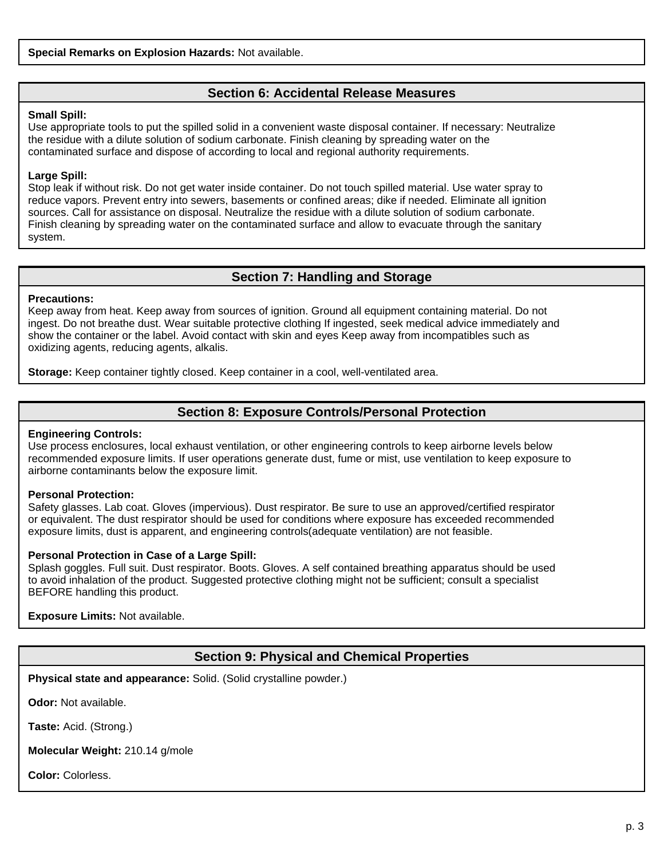# **Section 6: Accidental Release Measures**

### **Small Spill:**

Use appropriate tools to put the spilled solid in a convenient waste disposal container. If necessary: Neutralize the residue with a dilute solution of sodium carbonate. Finish cleaning by spreading water on the contaminated surface and dispose of according to local and regional authority requirements.

### **Large Spill:**

Stop leak if without risk. Do not get water inside container. Do not touch spilled material. Use water spray to reduce vapors. Prevent entry into sewers, basements or confined areas; dike if needed. Eliminate all ignition sources. Call for assistance on disposal. Neutralize the residue with a dilute solution of sodium carbonate. Finish cleaning by spreading water on the contaminated surface and allow to evacuate through the sanitary system.

# **Section 7: Handling and Storage**

### **Precautions:**

Keep away from heat. Keep away from sources of ignition. Ground all equipment containing material. Do not ingest. Do not breathe dust. Wear suitable protective clothing If ingested, seek medical advice immediately and show the container or the label. Avoid contact with skin and eyes Keep away from incompatibles such as oxidizing agents, reducing agents, alkalis.

**Storage:** Keep container tightly closed. Keep container in a cool, well-ventilated area.

# **Section 8: Exposure Controls/Personal Protection**

### **Engineering Controls:**

Use process enclosures, local exhaust ventilation, or other engineering controls to keep airborne levels below recommended exposure limits. If user operations generate dust, fume or mist, use ventilation to keep exposure to airborne contaminants below the exposure limit.

### **Personal Protection:**

Safety glasses. Lab coat. Gloves (impervious). Dust respirator. Be sure to use an approved/certified respirator or equivalent. The dust respirator should be used for conditions where exposure has exceeded recommended exposure limits, dust is apparent, and engineering controls(adequate ventilation) are not feasible.

### **Personal Protection in Case of a Large Spill:**

Splash goggles. Full suit. Dust respirator. Boots. Gloves. A self contained breathing apparatus should be used to avoid inhalation of the product. Suggested protective clothing might not be sufficient; consult a specialist BEFORE handling this product.

**Exposure Limits:** Not available.

# **Section 9: Physical and Chemical Properties**

**Physical state and appearance:** Solid. (Solid crystalline powder.)

**Odor:** Not available.

**Taste:** Acid. (Strong.)

**Molecular Weight:** 210.14 g/mole

**Color:** Colorless.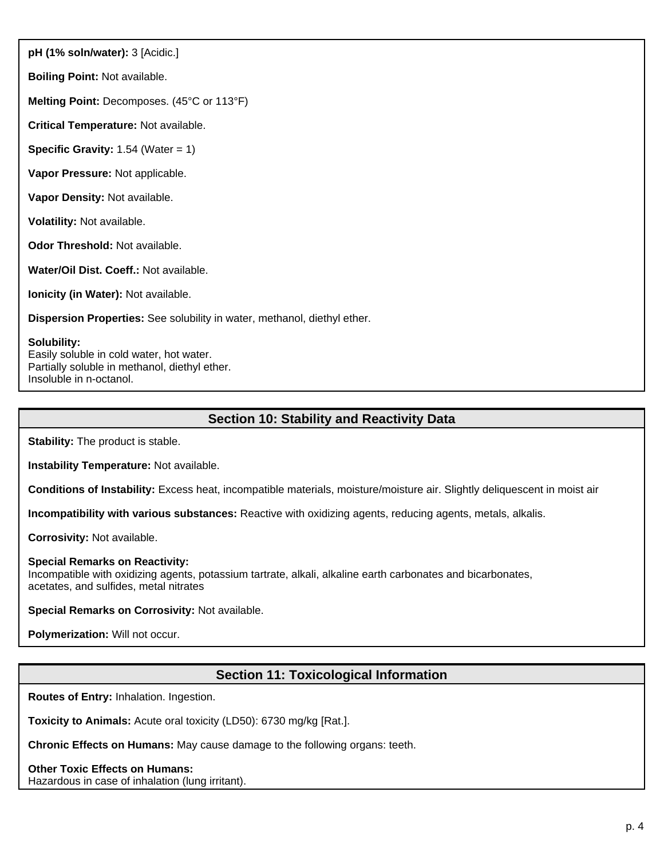**pH (1% soln/water):** 3 [Acidic.]

**Boiling Point:** Not available.

**Melting Point:** Decomposes. (45°C or 113°F)

**Critical Temperature:** Not available.

**Specific Gravity:** 1.54 (Water = 1)

**Vapor Pressure:** Not applicable.

**Vapor Density:** Not available.

**Volatility:** Not available.

**Odor Threshold:** Not available.

**Water/Oil Dist. Coeff.:** Not available.

**Ionicity (in Water):** Not available.

**Dispersion Properties:** See solubility in water, methanol, diethyl ether.

### **Solubility:**

Easily soluble in cold water, hot water. Partially soluble in methanol, diethyl ether. Insoluble in n-octanol.

# **Section 10: Stability and Reactivity Data**

**Stability:** The product is stable.

**Instability Temperature:** Not available.

**Conditions of Instability:** Excess heat, incompatible materials, moisture/moisture air. Slightly deliquescent in moist air

**Incompatibility with various substances:** Reactive with oxidizing agents, reducing agents, metals, alkalis.

**Corrosivity:** Not available.

### **Special Remarks on Reactivity:**

Incompatible with oxidizing agents, potassium tartrate, alkali, alkaline earth carbonates and bicarbonates, acetates, and sulfides, metal nitrates

**Special Remarks on Corrosivity:** Not available.

**Polymerization:** Will not occur.

# **Section 11: Toxicological Information**

**Routes of Entry:** Inhalation. Ingestion.

**Toxicity to Animals:** Acute oral toxicity (LD50): 6730 mg/kg [Rat.].

**Chronic Effects on Humans:** May cause damage to the following organs: teeth.

**Other Toxic Effects on Humans:** Hazardous in case of inhalation (lung irritant).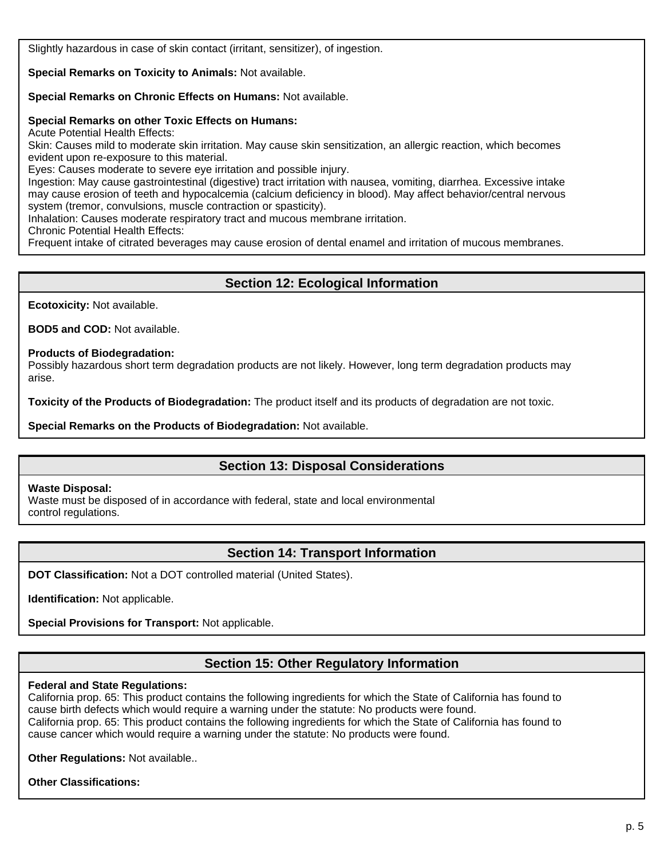Slightly hazardous in case of skin contact (irritant, sensitizer), of ingestion.

**Special Remarks on Toxicity to Animals:** Not available.

**Special Remarks on Chronic Effects on Humans:** Not available.

### **Special Remarks on other Toxic Effects on Humans:**

Acute Potential Health Effects:

Skin: Causes mild to moderate skin irritation. May cause skin sensitization, an allergic reaction, which becomes evident upon re-exposure to this material.

Eyes: Causes moderate to severe eye irritation and possible injury.

Ingestion: May cause gastrointestinal (digestive) tract irritation with nausea, vomiting, diarrhea. Excessive intake may cause erosion of teeth and hypocalcemia (calcium deficiency in blood). May affect behavior/central nervous system (tremor, convulsions, muscle contraction or spasticity).

Inhalation: Causes moderate respiratory tract and mucous membrane irritation.

Chronic Potential Health Effects:

Frequent intake of citrated beverages may cause erosion of dental enamel and irritation of mucous membranes.

# **Section 12: Ecological Information**

**Ecotoxicity:** Not available.

**BOD5 and COD:** Not available.

### **Products of Biodegradation:**

Possibly hazardous short term degradation products are not likely. However, long term degradation products may arise.

**Toxicity of the Products of Biodegradation:** The product itself and its products of degradation are not toxic.

**Special Remarks on the Products of Biodegradation:** Not available.

## **Section 13: Disposal Considerations**

### **Waste Disposal:**

Waste must be disposed of in accordance with federal, state and local environmental control regulations.

## **Section 14: Transport Information**

**DOT Classification:** Not a DOT controlled material (United States).

**Identification:** Not applicable.

**Special Provisions for Transport:** Not applicable.

# **Section 15: Other Regulatory Information**

### **Federal and State Regulations:**

California prop. 65: This product contains the following ingredients for which the State of California has found to cause birth defects which would require a warning under the statute: No products were found. California prop. 65: This product contains the following ingredients for which the State of California has found to cause cancer which would require a warning under the statute: No products were found.

**Other Regulations:** Not available..

**Other Classifications:**